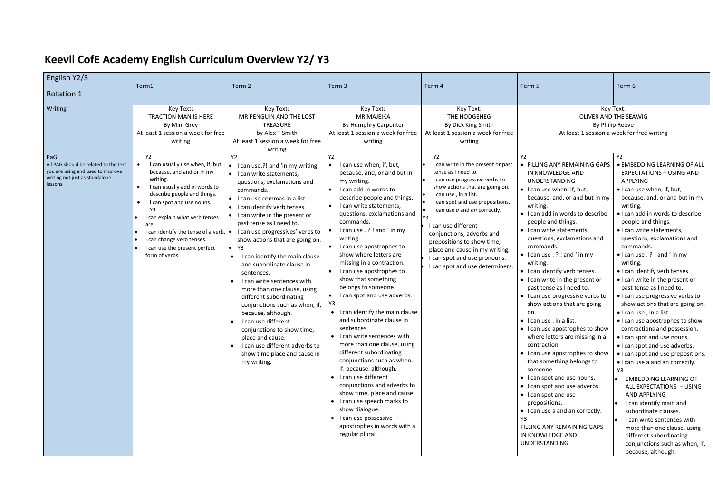## **Keevil CofE Academy English Curriculum Overview Y2/ Y3**

| English Y2/3                                                                                                                               |                                                                                                                                                                                                                                                                                                                                                       |                                                                                                                                                                                                                                                                                                                                                                                                                                                                  |                                                                                                                                                                                                                                                                                                                                                                                                                                                                                                                                                                                                                                                                                                        |                                                                                                                                                                                                                                                                                                                                                                      |                                                                                                                                                                                                                                                                                                                                                                                                                                                                                                                                                                                                                                                                                                  |                                                                                                                                                                                                                                                                                                                                                                                                                                                                                                                                                                                                                                                                                                                                                                                           |
|--------------------------------------------------------------------------------------------------------------------------------------------|-------------------------------------------------------------------------------------------------------------------------------------------------------------------------------------------------------------------------------------------------------------------------------------------------------------------------------------------------------|------------------------------------------------------------------------------------------------------------------------------------------------------------------------------------------------------------------------------------------------------------------------------------------------------------------------------------------------------------------------------------------------------------------------------------------------------------------|--------------------------------------------------------------------------------------------------------------------------------------------------------------------------------------------------------------------------------------------------------------------------------------------------------------------------------------------------------------------------------------------------------------------------------------------------------------------------------------------------------------------------------------------------------------------------------------------------------------------------------------------------------------------------------------------------------|----------------------------------------------------------------------------------------------------------------------------------------------------------------------------------------------------------------------------------------------------------------------------------------------------------------------------------------------------------------------|--------------------------------------------------------------------------------------------------------------------------------------------------------------------------------------------------------------------------------------------------------------------------------------------------------------------------------------------------------------------------------------------------------------------------------------------------------------------------------------------------------------------------------------------------------------------------------------------------------------------------------------------------------------------------------------------------|-------------------------------------------------------------------------------------------------------------------------------------------------------------------------------------------------------------------------------------------------------------------------------------------------------------------------------------------------------------------------------------------------------------------------------------------------------------------------------------------------------------------------------------------------------------------------------------------------------------------------------------------------------------------------------------------------------------------------------------------------------------------------------------------|
| <b>Rotation 1</b>                                                                                                                          | Term1                                                                                                                                                                                                                                                                                                                                                 | Term 2                                                                                                                                                                                                                                                                                                                                                                                                                                                           | Term 3                                                                                                                                                                                                                                                                                                                                                                                                                                                                                                                                                                                                                                                                                                 | Term 4                                                                                                                                                                                                                                                                                                                                                               | Term 5                                                                                                                                                                                                                                                                                                                                                                                                                                                                                                                                                                                                                                                                                           | Term 6                                                                                                                                                                                                                                                                                                                                                                                                                                                                                                                                                                                                                                                                                                                                                                                    |
| Writing<br>PaG<br>All PAG should be related to the text<br>you are using and used to improve<br>writing not just as standalone<br>lessons. | Key Text:<br><b>TRACTION MAN IS HERE</b><br>By Mini Grey<br>At least 1 session a week for free<br>writing<br>Y <sub>2</sub><br>I can usually use when, if, but,<br>because, and and or in my<br>writing.<br>I can usually add in words to<br>describe people and things.<br>I can spot and use nouns.<br>Y3<br>I can explain what verb tenses<br>are. | Key Text:<br>MR PENGUIN AND THE LOST<br><b>TREASURE</b><br>by Alex T Smith<br>At least 1 session a week for free<br>writing<br>Y2<br>I can use.?! and 'in my writing.<br>I can write statements,<br>questions, exclamations and<br>commands.<br>I can use commas in a list.<br>I can identify verb tenses<br>I can write in the present or<br>past tense as I need to.                                                                                           | Key Text:<br><b>MR MAJEIKA</b><br>By Humphry Carpenter<br>At least 1 session a week for free<br>writing<br>Y2<br>I can use when, if, but,<br>because, and, or and but in<br>my writing.<br>I can add in words to<br>$\bullet$<br>describe people and things.<br>I can write statements,<br>$\bullet$<br>questions, exclamations and<br>commands.<br>I can use . ? ! and ' in my                                                                                                                                                                                                                                                                                                                        | Key Text:<br>THE HODGEHEG<br>By Dick King Smith<br>At least 1 session a week for free<br>writing<br><b>Y2</b><br>I can write in the present or past<br>tense as I need to.<br>I can use progressive verbs to<br>show actions that are going on.<br>I can use, in a list.<br>I can spot and use prepositions.<br>I can use a and an correctly.<br>I can use different | Y2<br>• FILLING ANY REMAINING GAPS<br>IN KNOWLEDGE AND<br><b>UNDERSTANDING</b><br>• I can use when, if, but,<br>because, and, or and but in my<br>writing.<br>• I can add in words to describe<br>people and things.<br>• I can write statements,                                                                                                                                                                                                                                                                                                                                                                                                                                                | Key Text:<br>OLIVER AND THE SEAWIG<br>By Philip Reeve<br>At least 1 session a week for free writing<br>Y2<br>· EMBEDDING LEARNING OF ALL<br><b>EXPECTATIONS - USING AND</b><br>APPLYING<br>• I can use when, if, but,<br>because, and, or and but in my<br>writing.<br>. I can add in words to describe<br>people and things.<br>· I can write statements,                                                                                                                                                                                                                                                                                                                                                                                                                                |
|                                                                                                                                            | I can identify the tense of a verb.<br>I can change verb tenses.<br>I can use the present perfect<br>form of verbs.                                                                                                                                                                                                                                   | I can use progressives' verbs to<br>show actions that are going on.<br>Y3<br>I can identify the main clause<br>and subordinate clause in<br>sentences.<br>I can write sentences with<br>more than one clause, using<br>different subordinating<br>conjunctions such as when, if,<br>because, although.<br>I can use different<br>conjunctions to show time,<br>place and cause.<br>I can use different adverbs to<br>show time place and cause in<br>my writing. | writing.<br>I can use apostrophes to<br>$\bullet$<br>show where letters are<br>missing in a contraction.<br>I can use apostrophes to<br>$\bullet$<br>show that something<br>belongs to someone.<br>I can spot and use adverbs.<br>$\bullet$<br>Y3<br>• I can identify the main clause<br>and subordinate clause in<br>sentences.<br>• I can write sentences with<br>more than one clause, using<br>different subordinating<br>conjunctions such as when,<br>if, because, although.<br>• I can use different<br>conjunctions and adverbs to<br>show time, place and cause.<br>• I can use speech marks to<br>show dialogue.<br>• I can use possessive<br>apostrophes in words with a<br>regular plural. | conjunctions, adverbs and<br>prepositions to show time,<br>place and cause in my writing.<br>I can spot and use pronouns.<br>I can spot and use determiners.                                                                                                                                                                                                         | questions, exclamations and<br>commands.<br>$\bullet$ I can use . ? ! and ' in my<br>writing.<br>• I can identify verb tenses.<br>• I can write in the present or<br>past tense as I need to.<br>• I can use progressive verbs to<br>show actions that are going<br>on.<br>$\bullet$ I can use, in a list.<br>• I can use apostrophes to show<br>where letters are missing in a<br>contraction.<br>• I can use apostrophes to show<br>that something belongs to<br>someone.<br>• I can spot and use nouns.<br>• I can spot and use adverbs.<br>• I can spot and use<br>prepositions.<br>• I can use a and an correctly.<br>Υ3<br>FILLING ANY REMAINING GAPS<br>IN KNOWLEDGE AND<br>UNDERSTANDING | questions, exclamations and<br>commands.<br>$\bullet$ I can use . ? ! and ' in my<br>writing.<br>• I can identify verb tenses.<br>• I can write in the present or<br>past tense as I need to.<br>• I can use progressive verbs to<br>show actions that are going on.<br>• I can use, in a list.<br>• I can use apostrophes to show<br>contractions and possession.<br>. I can spot and use nouns.<br>• I can spot and use adverbs.<br>• I can spot and use prepositions.<br>. I can use a and an correctly.<br>Y3<br>EMBEDDING LEARNING OF<br>ALL EXPECTATIONS - USING<br>AND APPLYING<br>I can identify main and<br>subordinate clauses.<br>I can write sentences with<br>more than one clause, using<br>different subordinating<br>conjunctions such as when, if,<br>because, although. |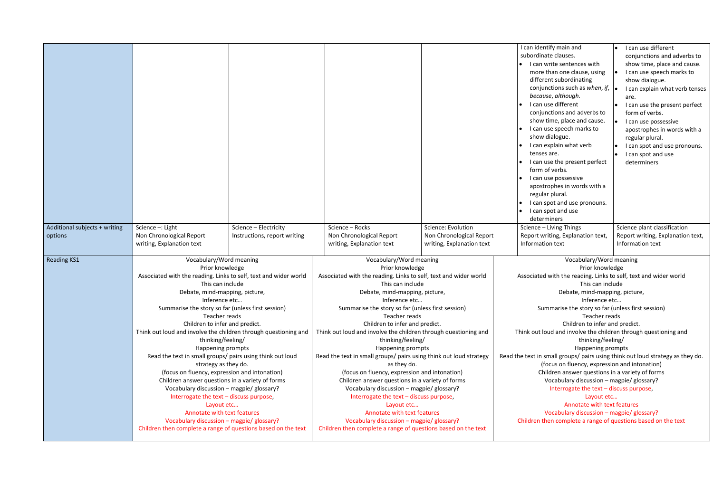|                                          |                                                                                                                                                                                                                                                                                                                                                                                                                                                                                                                                                                                                                                                                                                                                                                                                                                                        |                                                                                                                                                                                                                                                                                                                                                                                                                                                                                                                                                                                                                                                                                                                                                                                                                                                        | I can identify main and<br>I can use different<br>subordinate clauses.<br>conjunctions and adverbs to<br>I can write sentences with<br>show time, place and cause.<br>more than one clause, using<br>I can use speech marks to<br>different subordinating<br>show dialogue.<br>conjunctions such as when, if, $\vert \cdot \vert$<br>I can explain what verb tenses<br>because, although.<br>are.<br>I can use different<br>I can use the present perfect<br>conjunctions and adverbs to<br>form of verbs.<br>show time, place and cause.<br>I can use possessive<br>I can use speech marks to<br>apostrophes in words with a<br>show dialogue.<br>regular plural.<br>I can explain what verb<br>I can spot and use pronouns.<br>tenses are.<br>I can spot and use<br>I can use the present perfect<br>determiners<br>form of verbs.<br>I can use possessive<br>apostrophes in words with a<br>regular plural.<br>I can spot and use pronouns.<br>I can spot and use<br>determiners |  |
|------------------------------------------|--------------------------------------------------------------------------------------------------------------------------------------------------------------------------------------------------------------------------------------------------------------------------------------------------------------------------------------------------------------------------------------------------------------------------------------------------------------------------------------------------------------------------------------------------------------------------------------------------------------------------------------------------------------------------------------------------------------------------------------------------------------------------------------------------------------------------------------------------------|--------------------------------------------------------------------------------------------------------------------------------------------------------------------------------------------------------------------------------------------------------------------------------------------------------------------------------------------------------------------------------------------------------------------------------------------------------------------------------------------------------------------------------------------------------------------------------------------------------------------------------------------------------------------------------------------------------------------------------------------------------------------------------------------------------------------------------------------------------|-------------------------------------------------------------------------------------------------------------------------------------------------------------------------------------------------------------------------------------------------------------------------------------------------------------------------------------------------------------------------------------------------------------------------------------------------------------------------------------------------------------------------------------------------------------------------------------------------------------------------------------------------------------------------------------------------------------------------------------------------------------------------------------------------------------------------------------------------------------------------------------------------------------------------------------------------------------------------------------|--|
| Additional subjects + writing<br>options | Science -: Light<br>Science - Electricity<br>Non Chronological Report<br>Instructions, report writing<br>writing, Explanation text                                                                                                                                                                                                                                                                                                                                                                                                                                                                                                                                                                                                                                                                                                                     | Science - Rocks<br>Science: Evolution<br>Non Chronological Report<br>Non Chronological Report<br>writing, Explanation text<br>writing, Explanation text                                                                                                                                                                                                                                                                                                                                                                                                                                                                                                                                                                                                                                                                                                | Science plant classification<br>Science - Living Things<br>Report writing, Explanation text,<br>Report writing, Explanation text,<br>Information text<br>Information text                                                                                                                                                                                                                                                                                                                                                                                                                                                                                                                                                                                                                                                                                                                                                                                                           |  |
| <b>Reading KS1</b>                       | Vocabulary/Word meaning<br>Prior knowledge<br>Associated with the reading. Links to self, text and wider world<br>This can include<br>Debate, mind-mapping, picture,<br>Inference etc<br>Summarise the story so far (unless first session)<br>Teacher reads<br>Children to infer and predict.<br>Think out loud and involve the children through questioning and<br>thinking/feeling/<br>Happening prompts<br>Read the text in small groups/ pairs using think out loud<br>strategy as they do.<br>(focus on fluency, expression and intonation)<br>Children answer questions in a variety of forms<br>Vocabulary discussion - magpie/ glossary?<br>Interrogate the text - discuss purpose,<br>Layout etc<br>Annotate with text features<br>Vocabulary discussion - magpie/ glossary?<br>Children then complete a range of questions based on the text | Vocabulary/Word meaning<br>Prior knowledge<br>Associated with the reading. Links to self, text and wider world<br>This can include<br>Debate, mind-mapping, picture,<br>Inference etc<br>Summarise the story so far (unless first session)<br>Teacher reads<br>Children to infer and predict.<br>Think out loud and involve the children through questioning and<br>thinking/feeling/<br>Happening prompts<br>Read the text in small groups/ pairs using think out loud strategy<br>as they do.<br>(focus on fluency, expression and intonation)<br>Children answer questions in a variety of forms<br>Vocabulary discussion - magpie/ glossary?<br>Interrogate the text - discuss purpose,<br>Layout etc<br>Annotate with text features<br>Vocabulary discussion - magpie/ glossary?<br>Children then complete a range of questions based on the text | Vocabulary/Word meaning<br>Prior knowledge<br>Associated with the reading. Links to self, text and wider world<br>This can include<br>Debate, mind-mapping, picture,<br>Inference etc<br>Summarise the story so far (unless first session)<br>Teacher reads<br>Children to infer and predict.<br>Think out loud and involve the children through questioning and<br>thinking/feeling/<br>Happening prompts<br>Read the text in small groups/ pairs using think out loud strategy as they do.<br>(focus on fluency, expression and intonation)<br>Children answer questions in a variety of forms<br>Vocabulary discussion - magpie/ glossary?<br>Interrogate the text - discuss purpose,<br>Layout etc<br>Annotate with text features<br>Vocabulary discussion - magpie/ glossary?<br>Children then complete a range of questions based on the text                                                                                                                                 |  |